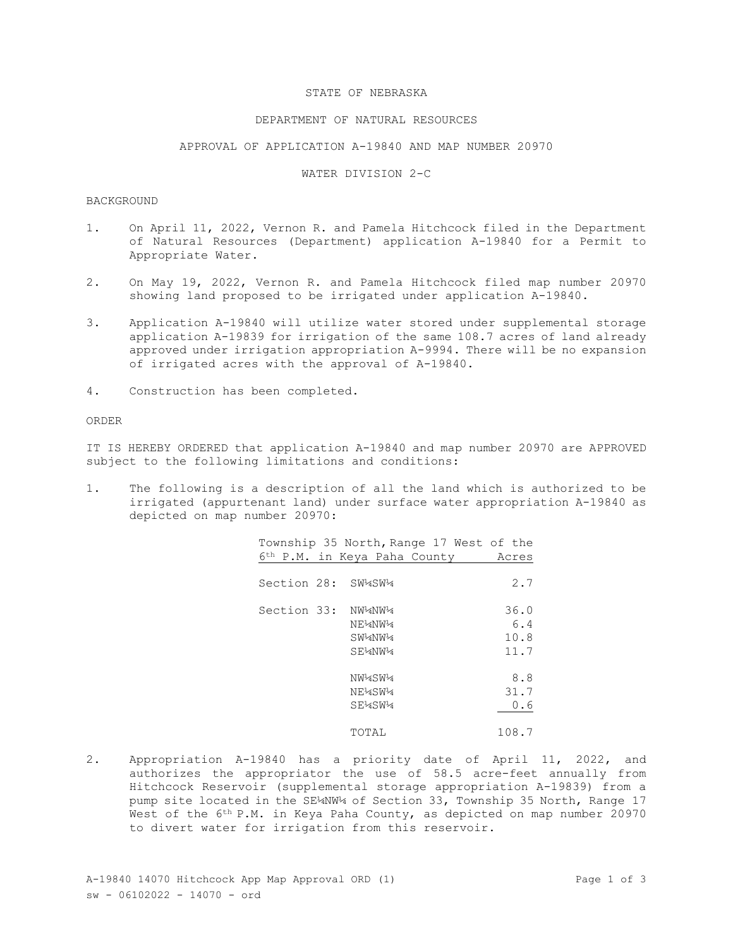## STATE OF NEBRASKA

## DEPARTMENT OF NATURAL RESOURCES

## APPROVAL OF APPLICATION A-19840 AND MAP NUMBER 20970

#### WATER DIVISION 2-C

# BACKGROUND

- 1. On April 11, 2022, Vernon R. and Pamela Hitchcock filed in the Department of Natural Resources (Department) application A-19840 for a Permit to Appropriate Water.
- 2. On May 19, 2022, Vernon R. and Pamela Hitchcock filed map number 20970 showing land proposed to be irrigated under application A-19840.
- 3. Application A-19840 will utilize water stored under supplemental storage application A-19839 for irrigation of the same 108.7 acres of land already approved under irrigation appropriation A-9994. There will be no expansion of irrigated acres with the approval of A-19840.
- 4. Construction has been completed.

## ORDER

IT IS HEREBY ORDERED that application A-19840 and map number 20970 are APPROVED subject to the following limitations and conditions:

1. The following is a description of all the land which is authorized to be irrigated (appurtenant land) under surface water appropriation A-19840 as depicted on map number 20970:

|                    |                                                              | Township 35 North, Range 17 West of the |
|--------------------|--------------------------------------------------------------|-----------------------------------------|
|                    | 6 <sup>th</sup> P.M. in Keya Paha County                     | Acres                                   |
| Section 28: SW4SW4 |                                                              | 2.7                                     |
| Section 33: NW¼NW¼ | NE <sup>1</sup> 4NW <sup>1</sup> 4<br>$SW^14NW^14$<br>SE4NW4 | 36.0<br>6.4<br>10.8<br>11.7             |
|                    | NW <sup>1</sup> 4SW <sup>1</sup> 4<br>NE4SW4<br>SE4SW4       | 8.8<br>31.7<br>0.6                      |
|                    | TOTAL                                                        | 108.7                                   |

2. Appropriation A-19840 has a priority date of April 11, 2022, and authorizes the appropriator the use of 58.5 acre-feet annually from Hitchcock Reservoir (supplemental storage appropriation A-19839) from a pump site located in the SE¼NW¼ of Section 33, Township 35 North, Range 17 West of the 6<sup>th</sup> P.M. in Keya Paha County, as depicted on map number 20970 to divert water for irrigation from this reservoir.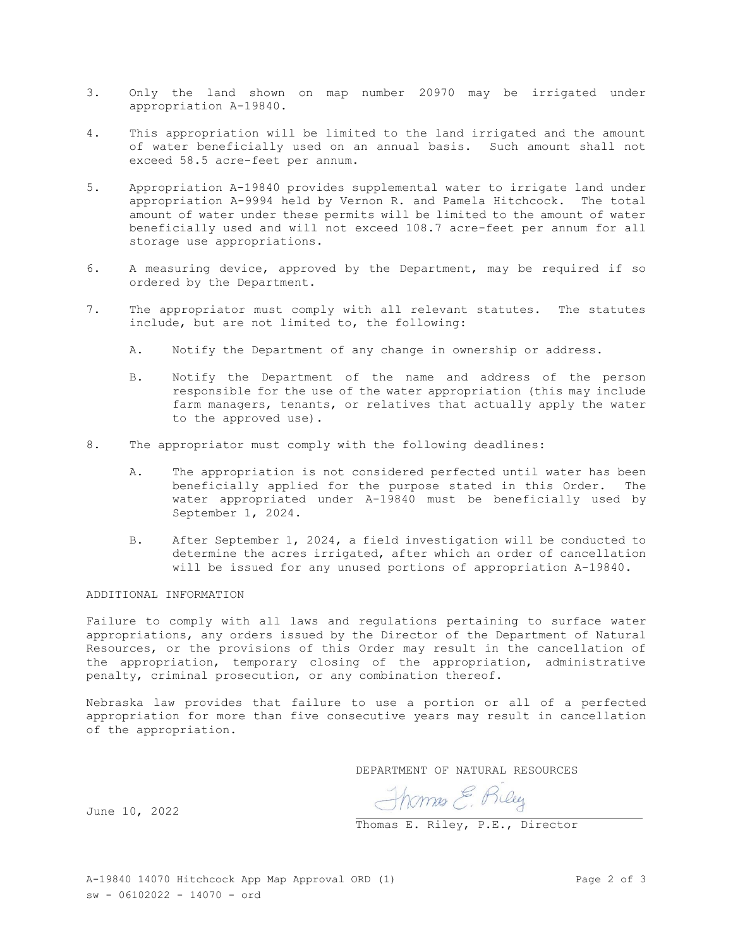- 3. Only the land shown on map number 20970 may be irrigated under appropriation A-19840.
- 4. This appropriation will be limited to the land irrigated and the amount of water beneficially used on an annual basis. Such amount shall not exceed 58.5 acre-feet per annum.
- 5. Appropriation A-19840 provides supplemental water to irrigate land under appropriation A-9994 held by Vernon R. and Pamela Hitchcock. The total amount of water under these permits will be limited to the amount of water beneficially used and will not exceed 108.7 acre-feet per annum for all storage use appropriations.
- 6. A measuring device, approved by the Department, may be required if so ordered by the Department.
- 7. The appropriator must comply with all relevant statutes. The statutes include, but are not limited to, the following:
	- A. Notify the Department of any change in ownership or address.
	- B. Notify the Department of the name and address of the person responsible for the use of the water appropriation (this may include farm managers, tenants, or relatives that actually apply the water to the approved use).
- 8. The appropriator must comply with the following deadlines:
	- A. The appropriation is not considered perfected until water has been beneficially applied for the purpose stated in this Order. The water appropriated under A-19840 must be beneficially used by September 1, 2024.
	- B. After September 1, 2024, a field investigation will be conducted to determine the acres irrigated, after which an order of cancellation will be issued for any unused portions of appropriation A-19840.

ADDITIONAL INFORMATION

Failure to comply with all laws and regulations pertaining to surface water appropriations, any orders issued by the Director of the Department of Natural Resources, or the provisions of this Order may result in the cancellation of the appropriation, temporary closing of the appropriation, administrative penalty, criminal prosecution, or any combination thereof.

Nebraska law provides that failure to use a portion or all of a perfected appropriation for more than five consecutive years may result in cancellation of the appropriation.

DEPARTMENT OF NATURAL RESOURCES

Thomas E. Riley<br>Thomas E. Riley, P.E., Director

June 10, 2022

A-19840 14070 Hitchcock App Map Approval ORD (1) Page 2 of 3 sw - 06102022 - 14070 - ord